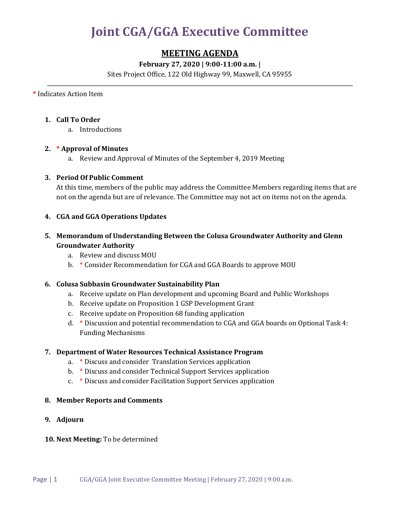# **Joint CGA/GGA Executive Committee**

## **MEETING AGENDA**

### **February 27, 2020 | 9:00-11:00 a.m. |**

Sites Project Office, 122 Old Highway 99, Maxwell, CA 95955

**\*** Indicates Action Item

#### **1. Call To Order**

a. Introductions

#### **2. \* Approval of Minutes**

a. Review and Approval of Minutes of the September 4, 2019 Meeting

#### **3. Period Of Public Comment**

At this time, members of the public may address the Committee Members regarding items that are not on the agenda but are of relevance. The Committee may not act on items not on the agenda.

#### **4. CGA and GGA Operations Updates**

#### **5. Memorandum of Understanding Between the Colusa Groundwater Authority and Glenn Groundwater Authority**

- a. Review and discuss MOU
- b. \* Consider Recommendation for CGA and GGA Boards to approve MOU

#### **6. Colusa Subbasin Groundwater Sustainability Plan**

- a. Receive update on Plan development and upcoming Board and Public Workshops
- b. Receive update on Proposition 1 GSP Development Grant
- c. Receive update on Proposition 68 funding application
- d. \* Discussion and potential recommendation to CGA and GGA boards on Optional Task 4: Funding Mechanisms

#### **7. Department of Water Resources Technical Assistance Program**

- a. \* Discuss and consider Translation Services application
- b. \* Discuss and consider Technical Support Services application
- c. \* Discuss and consider Facilitation Support Services application

#### **8. Member Reports and Comments**

**9. Adjourn**

#### **10. Next Meeting:** To be determined